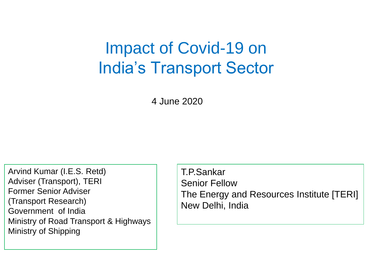# Impact of Covid-19 on India's Transport Sector

4 June 2020

Arvind Kumar (I.E.S. Retd) Adviser (Transport), TERI Former Senior Adviser (Transport Research) Government of India Ministry of Road Transport & Highways Ministry of Shipping

T.P.Sankar Senior Fellow The Energy and Resources Institute [TERI] New Delhi, India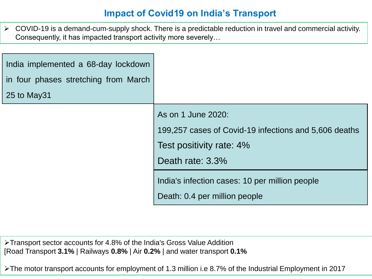## **Impact of Covid19 on India's Transport**

 $\triangleright$  COVID-19 is a demand-cum-supply shock. There is a predictable reduction in travel and commercial activity. Consequently, it has impacted transport activity more severely…

| India implemented a 68-day lockdown<br>in four phases stretching from March<br>25 to May31 |                                                                                                                             |
|--------------------------------------------------------------------------------------------|-----------------------------------------------------------------------------------------------------------------------------|
|                                                                                            | As on 1 June 2020:<br>199,257 cases of Covid-19 infections and 5,606 deaths<br>Test positivity rate: 4%<br>Death rate: 3.3% |
|                                                                                            | India's infection cases: 10 per million people<br>Death: 0.4 per million people                                             |

Transport sector accounts for 4.8% of the India's Gross Value Addition [Road Transport **3.1%** | Railways **0.8%** | Air **0.2%** | and water transport **0.1%**

The motor transport accounts for employment of 1.3 million i.e 8.7% of the Industrial Employment in 2017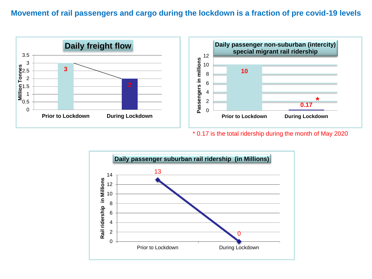#### **Movement of rail passengers and cargo during the lockdown is a fraction of pre covid-19 levels**



\* 0.17 is the total ridership during the month of May 2020

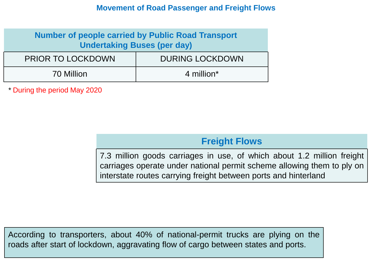#### **Movement of Road Passenger and Freight Flows**

| <b>Number of people carried by Public Road Transport</b><br><b>Undertaking Buses (per day)</b> |                        |  |
|------------------------------------------------------------------------------------------------|------------------------|--|
| <b>PRIOR TO LOCKDOWN</b>                                                                       | <b>DURING LOCKDOWN</b> |  |
| 70 Million                                                                                     | 4 million*             |  |

*\** During the period May 2020

### **Freight Flows**

7.3 million goods carriages in use, of which about 1.2 million freight carriages operate under national permit scheme allowing them to ply on interstate routes carrying freight between ports and hinterland

According to transporters, about 40% of national-permit trucks are plying on the roads after start of lockdown, aggravating flow of cargo between states and ports.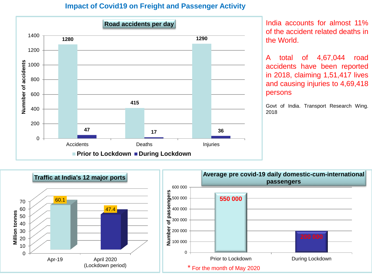#### **Impact of Covid19 on Freight and Passenger Activity**



India accounts for almost 11% of the accident related deaths in the World.

A total of 4,67,044 road accidents have been reported in 2018, claiming 1,51,417 lives and causing injuries to 4,69,418 persons

Govt of India. Transport Research Wing. 2018

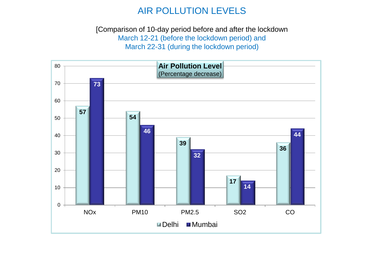## AIR POLLUTION LEVELS

[Comparison of 10-day period before and after the lockdown March 12-21 (before the lockdown period) and March 22-31 (during the lockdown period)

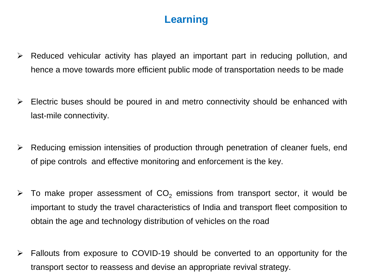# **Learning**

- $\triangleright$  Reduced vehicular activity has played an important part in reducing pollution, and hence a move towards more efficient public mode of transportation needs to be made
- $\triangleright$  Electric buses should be poured in and metro connectivity should be enhanced with last-mile connectivity.
- $\triangleright$  Reducing emission intensities of production through penetration of cleaner fuels, end of pipe controls and effective monitoring and enforcement is the key.
- $\triangleright$  To make proper assessment of CO<sub>2</sub> emissions from transport sector, it would be important to study the travel characteristics of India and transport fleet composition to obtain the age and technology distribution of vehicles on the road
- $\triangleright$  Fallouts from exposure to COVID-19 should be converted to an opportunity for the transport sector to reassess and devise an appropriate revival strategy.